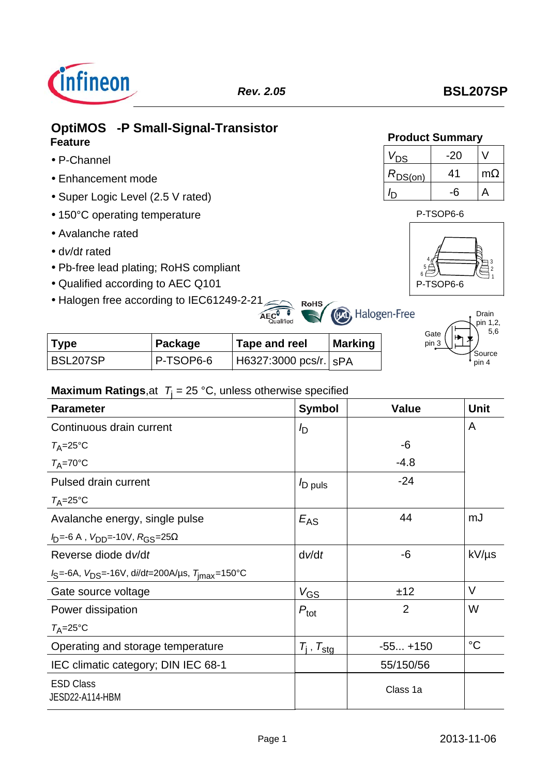

### **OptiMOS<sup>®</sup>-P Small-Signal-Transistor Product Summary Feature**

- P-Channel
- Enhancement mode
- Super Logic Level (2.5 V rated)
- 150°C operating temperature
- Avalanche rated
- d*v*/d*t* rated
- Pb-free lead plating; RoHS compliant
- Qualified according to AEC Q101 P-TSOP6-6
- Halogen free according to IEC61249-2-21 AECO

| V <sub>DS</sub>    | -20 |           |
|--------------------|-----|-----------|
| , $R_{\rm DS(on)}$ | 41  | $m\Omega$ |
|                    | -6  | Δ         |



Drain pin 1,2,

| <b>Type</b> | Package   | Tape and reel           | <b>Marking</b> | 5,6<br>Gate<br>pin 3 |
|-------------|-----------|-------------------------|----------------|----------------------|
| BSL207SP    | P-TSOP6-6 | H6327:3000 pcs/r.   sPA |                | Source<br>pin 4      |

**RoHS** 

(pa), Halogen-Free

# **Maximum Ratings**,at  $T_j = 25 \text{ °C}$ , unless otherwise specified

| <b>Parameter</b>                                                         | <b>Symbol</b>            | <b>Value</b>   | <b>Unit</b>     |
|--------------------------------------------------------------------------|--------------------------|----------------|-----------------|
| Continuous drain current                                                 | b                        |                | A               |
| $T_A = 25$ °C                                                            |                          | -6             |                 |
| $T_A = 70$ °C                                                            |                          | $-4.8$         |                 |
| Pulsed drain current                                                     | D puls                   | $-24$          |                 |
| $T_A = 25^{\circ}C$                                                      |                          |                |                 |
| Avalanche energy, single pulse                                           | $E_{AS}$                 | 44             | mJ              |
| $I_D$ =-6 A, $V_{DD}$ =-10V, $R_{GS}$ =25 $\Omega$                       |                          |                |                 |
| Reverse diode dv/dt                                                      | $d$ <i>v</i> $dt$        | -6             | kV/µs           |
| $I_S = -6A$ , $V_{DS} = -16V$ , di/dt=200A/us, $T_{imax} = 150^{\circ}C$ |                          |                |                 |
| Gate source voltage                                                      | $V_{GS}$                 | ±12            | V               |
| Power dissipation                                                        | $P_{\text{tot}}$         | $\overline{2}$ | W               |
| $T_A = 25$ °C                                                            |                          |                |                 |
| Operating and storage temperature                                        | $T_i$ , $T_{\text{stg}}$ | $-55 + 150$    | $\rm ^{\circ}C$ |
| IEC climatic category; DIN IEC 68-1                                      |                          | 55/150/56      |                 |
| <b>ESD Class</b><br>JESD22-A114-HBM                                      |                          | Class 1a       |                 |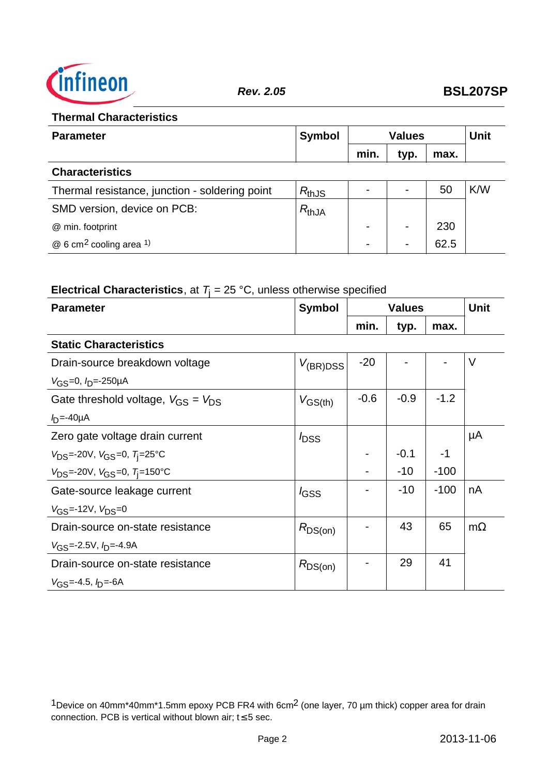

#### **Thermal Characteristics**

| <b>Parameter</b>                               | <b>Symbol</b>       | <b>Values</b> |                | <b>Unit</b> |     |
|------------------------------------------------|---------------------|---------------|----------------|-------------|-----|
|                                                |                     | min.          | typ.           | max.        |     |
| <b>Characteristics</b>                         |                     |               |                |             |     |
| Thermal resistance, junction - soldering point | $R_{thJS}$          |               | $\blacksquare$ | 50          | K/W |
| SMD version, device on PCB:                    | $R_{\mathsf{thJA}}$ |               |                |             |     |
| @ min. footprint                               |                     |               | $\blacksquare$ | 230         |     |
| $@6 \text{ cm}^2$ cooling area 1)              |                     |               | $\blacksquare$ | 62.5        |     |

# **Electrical Characteristics**, at  $T_j = 25 \text{ °C}$ , unless otherwise specified

| <b>Parameter</b>                                  | <b>Symbol</b>    | <b>Values</b> |        | <b>Unit</b> |           |
|---------------------------------------------------|------------------|---------------|--------|-------------|-----------|
|                                                   |                  | min.          | typ.   | max.        |           |
| <b>Static Characteristics</b>                     |                  |               |        |             |           |
| Drain-source breakdown voltage                    | $V_{(BR)DSS}$    | $-20$         |        |             | V         |
| $V_{GS} = 0$ , $I_{D} = -250 \mu A$               |                  |               |        |             |           |
| Gate threshold voltage, $V_{\rm GS} = V_{\rm DS}$ | $V_{GS(th)}$     | $-0.6$        | $-0.9$ | $-1.2$      |           |
| $h$ =-40µA                                        |                  |               |        |             |           |
| Zero gate voltage drain current                   | $I_{\text{DSS}}$ |               |        |             | μA        |
| $V_{DS}$ =-20V, $V_{GS}$ =0, $T_{i}$ =25°C        |                  |               | $-0.1$ | $-1$        |           |
| $V_{DS}$ =-20V, $V_{GS}$ =0, $T_i$ =150°C         |                  |               | $-10$  | $-100$      |           |
| Gate-source leakage current                       | <i>l</i> GSS     |               | $-10$  | $-100$      | nA        |
| $V_{GS}$ =-12V, $V_{DS}=0$                        |                  |               |        |             |           |
| Drain-source on-state resistance                  | $R_{DS(on)}$     |               | 43     | 65          | $m\Omega$ |
| $V_{\text{GS}}$ =-2.5V, $I_{\text{D}}$ =-4.9A     |                  |               |        |             |           |
| Drain-source on-state resistance                  | $R_{DS(on)}$     |               | 29     | 41          |           |
| $V_{GS}$ =-4.5, $I_{D}$ =-6A                      |                  |               |        |             |           |

1Device on 40mm\*40mm\*1.5mm epoxy PCB FR4 with 6cm2 (one layer, 70 µm thick) copper area for drain connection. PCB is vertical without blown air;  $t \leq 5$  sec.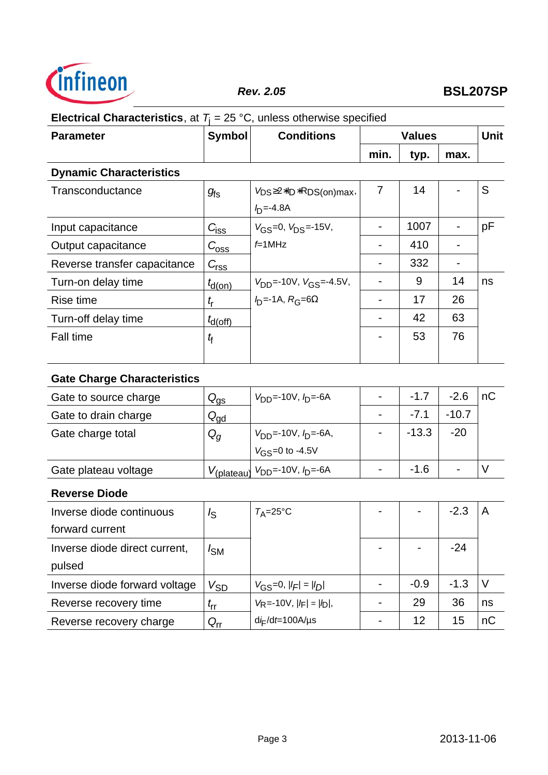

# **Electrical Characteristics**, at  $T_j = 25 \text{ °C}$ , unless otherwise specified

| <b>Parameter</b>                            | <b>Symbol</b>                    | <b>Conditions</b>                                                          | <b>Values</b>            |         |                          | <b>Unit</b> |  |
|---------------------------------------------|----------------------------------|----------------------------------------------------------------------------|--------------------------|---------|--------------------------|-------------|--|
|                                             |                                  |                                                                            | min.                     | typ.    | max.                     |             |  |
| <b>Dynamic Characteristics</b>              |                                  |                                                                            |                          |         |                          |             |  |
| Transconductance                            | $g_{\rm fs}$                     | V <sub>DS</sub> ≥2*I <sub>D</sub> *R <sub>DS</sub> (on)max,<br>$h = -4.8A$ | $\overline{7}$           | 14      |                          | S           |  |
| Input capacitance                           | $C_{\underline{\text{SS}}}$      | $V_{GS} = 0$ , $V_{DS} = -15V$ ,                                           | $\overline{\phantom{a}}$ | 1007    |                          | pF          |  |
| Output capacitance                          | $C_{\rm{oss}}$                   | $f=1$ MHz                                                                  |                          | 410     | $\overline{\phantom{0}}$ |             |  |
| Reverse transfer capacitance                | $C_{\underline{rss}}$            |                                                                            | $\blacksquare$           | 332     | $\overline{\phantom{0}}$ |             |  |
| Turn-on delay time                          | $t_{d(on)}$                      | $V_{DD}$ =-10V, $V_{GS}$ =-4.5V,                                           |                          | 9       | 14                       | ns          |  |
| Rise time                                   | $t_{\sf r}$                      | $ID=-1A$ , $RG=6\Omega$                                                    | -                        | 17      | 26                       |             |  |
| Turn-off delay time                         | $t_{\rm d(Off)}$                 |                                                                            |                          | 42      | 63                       |             |  |
| <b>Fall time</b>                            | $t_{\rm f}$                      |                                                                            |                          | 53      | 76                       |             |  |
| <b>Gate Charge Characteristics</b>          |                                  |                                                                            |                          |         |                          |             |  |
| Gate to source charge                       | $Q_{q\underline{s}}$             | $V_{DD}$ =-10V, $I_D$ =-6A                                                 |                          | $-1.7$  | $-2.6$                   | nC          |  |
| Gate to drain charge                        | $Q_{\underline{q}\underline{d}}$ |                                                                            |                          | $-7.1$  | $-10.7$                  |             |  |
| Gate charge total                           | $Q_{\mathcal{G}}$                | $V_{DD}$ =-10V, $I_D$ =-6A,                                                |                          | $-13.3$ | $-20$                    |             |  |
|                                             |                                  | $V_{GS} = 0$ to -4.5V                                                      |                          |         |                          |             |  |
| Gate plateau voltage                        |                                  | $V_{(plateau)}$ $V_{DD}$ =-10V, $I_D$ =-6A                                 | $\blacksquare$           | $-1.6$  |                          | V           |  |
| <b>Reverse Diode</b>                        |                                  |                                                                            |                          |         |                          |             |  |
| Inverse diode continuous<br>forward curront | $I_{\rm S}$                      | $T_A = 25$ °C                                                              |                          |         | $-2.3$                   | A           |  |

| <u>IIIVEISE UIUUE CUITIIIUUUS</u> | 'S              | ب ت∠–∡ ،                       |        | <u>L.J</u> | .  |
|-----------------------------------|-----------------|--------------------------------|--------|------------|----|
| forward current                   |                 |                                |        |            |    |
| Inverse diode direct current,     | I <sub>SM</sub> |                                |        | $-24$      |    |
| pulsed                            |                 |                                |        |            |    |
| Inverse diode forward voltage     | V <sub>SD</sub> | $V_{GS} = 0$ , $ I_F  =  I_D $ | $-0.9$ | $-1.3$     |    |
| Reverse recovery time             | $t_{\sf rr}$    | $V_R = -10V$ , $ F  =  I_D $ , | 29     | 36         | ns |
| Reverse recovery charge           | $Q_{rr}$        | $d\dot{F}/dt = 100A/\mu s$     | 12     | 15         | nС |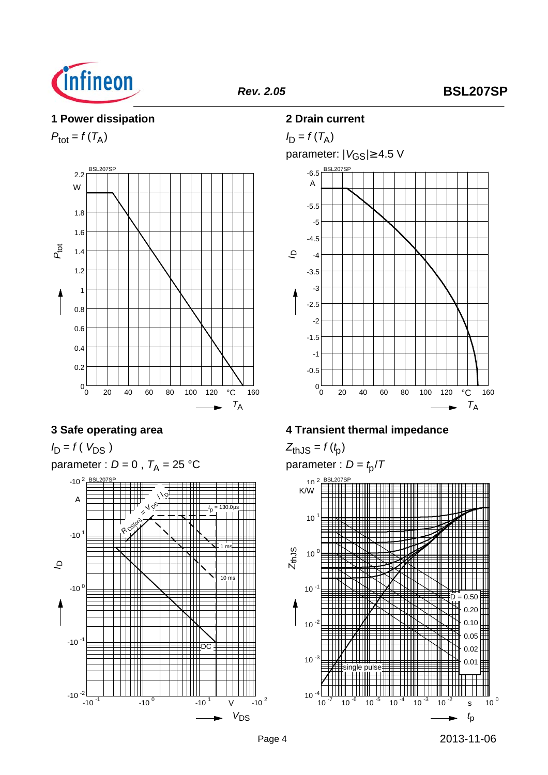

#### **1 Power dissipation**

 $P_{\text{tot}} = f(T_A)$ 



#### **3 Safe operating area**

*I*<sub>D</sub> = *f* ( *V*<sub>DS</sub> )

parameter :  $D = 0$ ,  $T_A = 25$  °C  $-10^{-1}$   $-10^{-0}$   $-10^{-1}$   $V$   $-10^{-2}$  $V_{DS}$  $-10^{-2}$  $-10^{-1}$  $-10^{0}$  $-10<sup>1</sup>$ -10<sup>2</sup> BSL207SP A *<sup>I</sup>*<sup>D</sup> **ROSOF** / *<sup>I</sup>*  $\Diamond$ DC 10 ms 1 ms  *t* <sup>p</sup> = 130.0µs

#### **2 Drain current**



# **4 Transient thermal impedance**

 $Z_{thJS} = f(t<sub>p</sub>)$ 

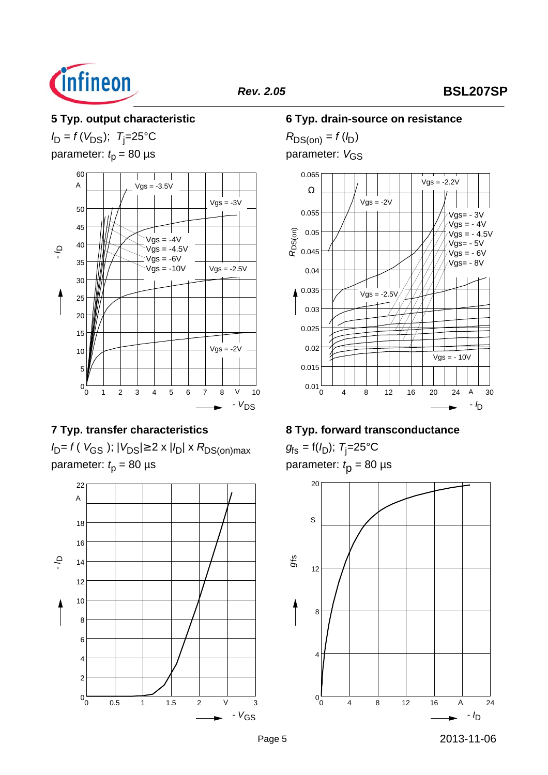

# **5 Typ. output characteristic**

 $I_D = f(V_{DS})$ ; *T*<sub>j</sub>=25°C parameter:  $t_p = 80 \text{ }\mu\text{s}$ 



# **7 Typ. transfer characteristics**

*I*<sub>D</sub>= *f* (*V*<sub>GS</sub> ); |*V*<sub>DS</sub>|≥ 2 x |*I*<sub>D</sub>| x *R*<sub>DS(on)max</sub> parameter:  $t<sub>0</sub> = 80 \text{ }\mu\text{s}$ 



#### **6 Typ. drain-source on resistance**

 $R_{DS(on)} = f(h)$ 



# **8 Typ. forward transconductance**

 $g_{fs} = f(l_D); T_j = 25^{\circ} \text{C}$ parameter: *t* p = 80 µs



Page 5 2013-11-06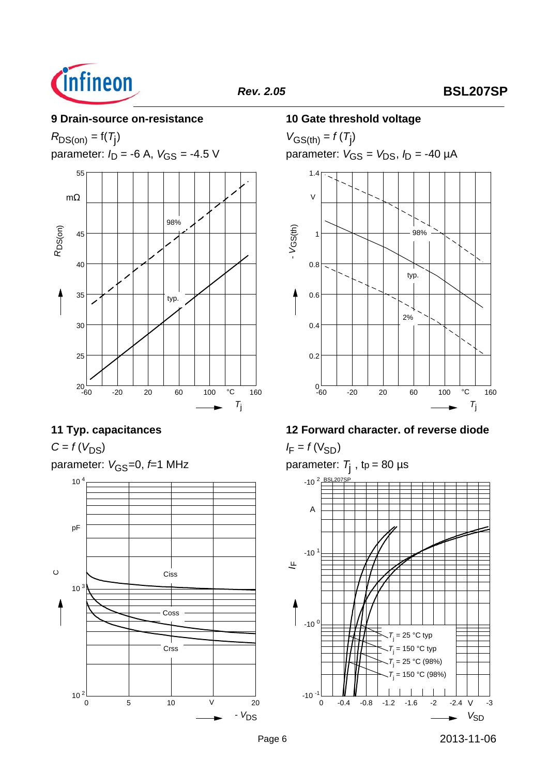

#### **9 Drain-source on-resistance**

 $R_{DS(on)} = f(T_j)$ 

parameter:  $I_D = -6$  A,  $V_{GS} = -4.5$  V



# **11 Typ. capacitances**

 $C = f(V_{DS})$ 

```
parameter: V_{\text{GS}}=0, f=1 MHz
        0 5 10 V 20
                                               - VDS
     \frac{2}{0}10<sup>3</sup>10<sup>4</sup>pF
\circCrss
                            Coss
                            Ciss
```
#### **10 Gate threshold voltage**

 $V_{GS(th)} = f(T_{\rm j})$ parameter:  $V_{GS} = V_{DS}$ ,  $I_D = -40 \mu A$ 



# **12 Forward character. of reverse diode**

 $I_F = f(V_{SD})$ 

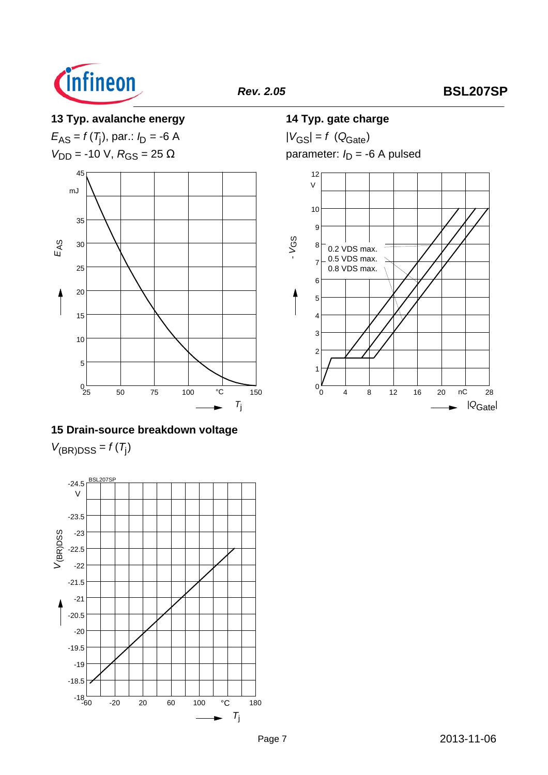

#### **13 Typ. avalanche energy**

 $E_{AS} = f(T_i)$ , par.:  $I_D = -6$  A  $V_{DD}$  = -10 V,  $R_{GS}$  = 25 Ω



# **15 Drain-source breakdown voltage**

 $V_{(BR)DSS} = f(T_i)$ 



#### **14 Typ. gate charge**

 $|V_{\text{GS}}| = f (Q_{\text{Gate}})$ parameter:  $I_D = -6$  A pulsed